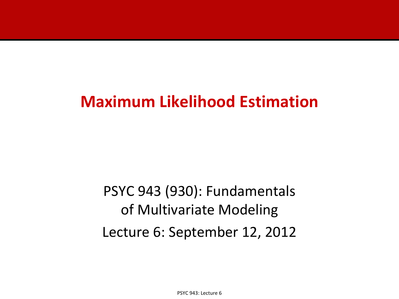# **Maximum Likelihood Estimation**

PSYC 943 (930): Fundamentals of Multivariate Modeling Lecture 6: September 12, 2012

PSYC 943: Lecture 6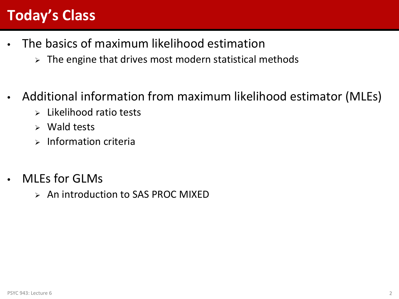# **Today's Class**

- The basics of maximum likelihood estimation
	- $\triangleright$  The engine that drives most modern statistical methods
- Additional information from maximum likelihood estimator (MLEs)
	- $\triangleright$  Likelihood ratio tests
	- $\triangleright$  Wald tests
	- $\triangleright$  Information criteria
- **MLEs for GLMs** 
	- An introduction to SAS PROC MIXED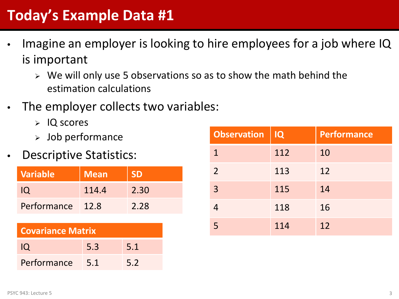# **Today's Example Data #1**

- Imagine an employer is looking to hire employees for a job where IQ is important
	- $\triangleright$  We will only use 5 observations so as to show the math behind the estimation calculations
- The employer collects two variables:
	- $>$  IQ scores
	- $>$  Job performance
- **Descriptive Statistics:**

| <b>Variable</b> | <b>Mean</b> | <b>SD</b> |
|-----------------|-------------|-----------|
| O               | 114.4       | 2.30      |
| Performance     | 12.8        | 2.28      |

| <b>Covariance Matrix</b> |     |     |  |  |  |
|--------------------------|-----|-----|--|--|--|
| <b>IQ</b>                | 5.3 | 5.1 |  |  |  |
| Performance              | 5.1 | 5.2 |  |  |  |

| <b>Observation</b> | IQ  | Performance |
|--------------------|-----|-------------|
| 1                  | 112 | 10          |
| 2                  | 113 | 12          |
| $\overline{3}$     | 115 | 14          |
|                    | 118 | 16          |
| 5                  | 114 | 12          |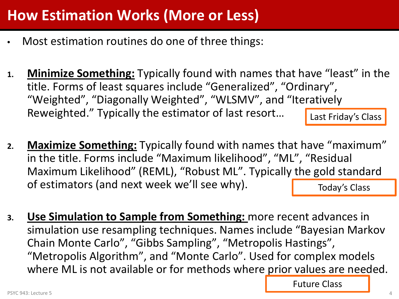# **How Estimation Works (More or Less)**

- Most estimation routines do one of three things:
- **1. Minimize Something:** Typically found with names that have "least" in the title. Forms of least squares include "Generalized", "Ordinary", "Weighted", "Diagonally Weighted", "WLSMV", and "Iteratively Reweighted." Typically the estimator of last resort… Last Friday's Class
- **2. Maximize Something:** Typically found with names that have "maximum" in the title. Forms include "Maximum likelihood", "ML", "Residual Maximum Likelihood" (REML), "Robust ML". Typically the gold standard of estimators (and next week we'll see why). Today's Class
- **3. Use Simulation to Sample from Something:** more recent advances in simulation use resampling techniques. Names include "Bayesian Markov Chain Monte Carlo", "Gibbs Sampling", "Metropolis Hastings", "Metropolis Algorithm", and "Monte Carlo". Used for complex models where ML is not available or for methods where prior values are needed.

Future Class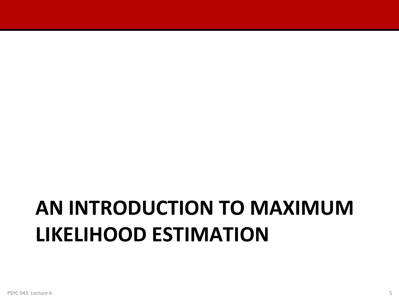# **AN INTRODUCTION TO MAXIMUM LIKELIHOOD ESTIMATION**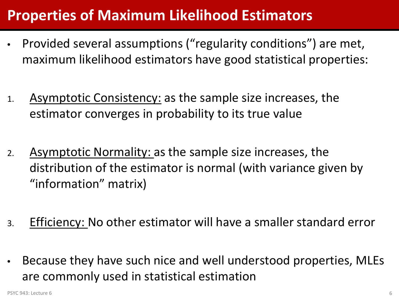## **Properties of Maximum Likelihood Estimators**

- Provided several assumptions ("regularity conditions") are met, maximum likelihood estimators have good statistical properties:
- 1. Asymptotic Consistency: as the sample size increases, the estimator converges in probability to its true value
- 2. Asymptotic Normality: as the sample size increases, the distribution of the estimator is normal (with variance given by "information" matrix)
- 3. Efficiency: No other estimator will have a smaller standard error
- Because they have such nice and well understood properties, MLEs are commonly used in statistical estimation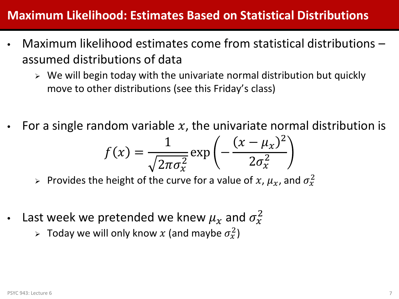#### **Maximum Likelihood: Estimates Based on Statistical Distributions**

- Maximum likelihood estimates come from statistical distributions assumed distributions of data
	- $\triangleright$  We will begin today with the univariate normal distribution but quickly move to other distributions (see this Friday's class)
- For a single random variable  $x$ , the univariate normal distribution is

$$
f(x) = \frac{1}{\sqrt{2\pi\sigma_x^2}} \exp\left(-\frac{(x-\mu_x)^2}{2\sigma_x^2}\right)
$$

- > Provides the height of the curve for a value of  $x$ ,  $\mu_x$ , and  $\sigma_x^2$
- Last week we pretended we knew  $\mu_{\chi}$  and  $\sigma_{\chi}^2$ 
	- $>$  Today we will only know  $x$  (and maybe  $\sigma_x^2$ )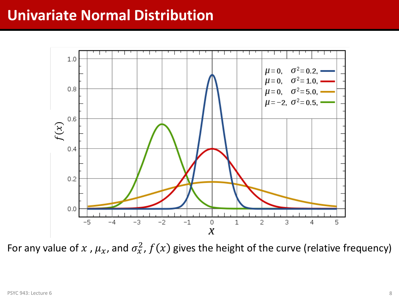### **Univariate Normal Distribution**



For any value of  $x$  ,  $\mu_x$ , and  $\sigma_x^2$ ,  $f(x)$  gives the height of the curve (relative frequency)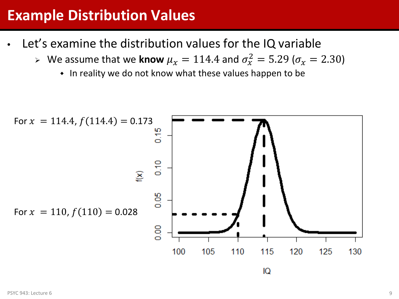### **Example Distribution Values**

- Let's examine the distribution values for the IQ variable
	- $\triangleright$  We assume that we know  $\mu_x = 114.4$  and  $\sigma_x^2 = 5.29$  ( $\sigma_x = 2.30$ )
		- In reality we do not know what these values happen to be

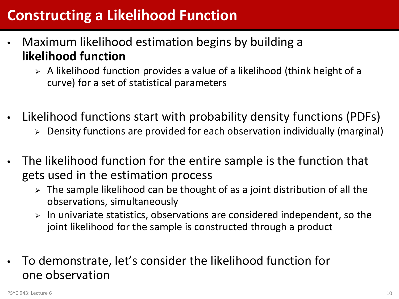# **Constructing a Likelihood Function**

- Maximum likelihood estimation begins by building a **likelihood function**
	- $\triangleright$  A likelihood function provides a value of a likelihood (think height of a curve) for a set of statistical parameters
- Likelihood functions start with probability density functions (PDFs)
	- Density functions are provided for each observation individually (marginal)
- The likelihood function for the entire sample is the function that gets used in the estimation process
	- $\triangleright$  The sample likelihood can be thought of as a joint distribution of all the observations, simultaneously
	- $\triangleright$  In univariate statistics, observations are considered independent, so the joint likelihood for the sample is constructed through a product
- To demonstrate, let's consider the likelihood function for one observation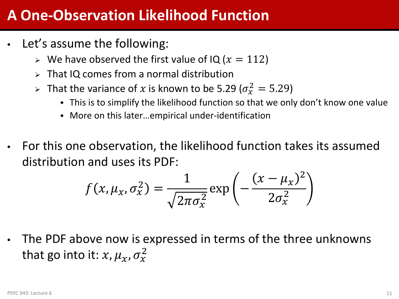### **A One-Observation Likelihood Function**

- Let's assume the following:
	- $\triangleright$  We have observed the first value of IQ ( $x = 112$ )
	- $\triangleright$  That IQ comes from a normal distribution
	- > That the variance of x is known to be 5.29 ( $\sigma_{x}^2 = 5.29$ )
		- This is to simplify the likelihood function so that we only don't know one value
		- More on this later…empirical under-identification
- For this one observation, the likelihood function takes its assumed distribution and uses its PDF:

$$
f(x, \mu_x, \sigma_x^2) = \frac{1}{\sqrt{2\pi\sigma_x^2}} \exp\left(-\frac{(x - \mu_x)^2}{2\sigma_x^2}\right)
$$

The PDF above now is expressed in terms of the three unknowns that go into it:  $x$ ,  $\mu_x$ ,  $\sigma_x^2$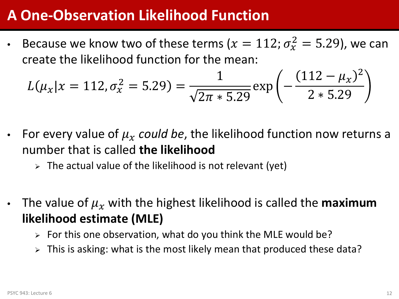### **A One-Observation Likelihood Function**

• Because we know two of these terms ( $x = 112$ ;  $\sigma_x^2 = 5.29$ ), we can create the likelihood function for the mean:

$$
L(\mu_x | x = 112, \sigma_x^2 = 5.29) = \frac{1}{\sqrt{2\pi * 5.29}} \exp\left(-\frac{(112 - \mu_x)^2}{2 * 5.29}\right)
$$

- For every value of  $\mu_X$  could be, the likelihood function now returns a number that is called **the likelihood**
	- $\triangleright$  The actual value of the likelihood is not relevant (yet)
- The value of  $\mu_X$  with the highest likelihood is called the **maximum likelihood estimate (MLE)**
	- $\triangleright$  For this one observation, what do you think the MLE would be?
	- $\triangleright$  This is asking: what is the most likely mean that produced these data?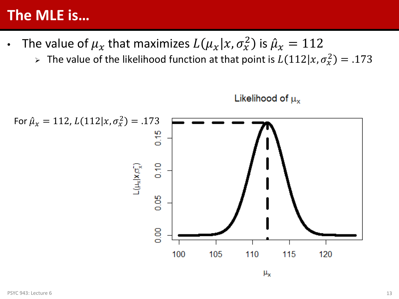#### **The MLE is…**

- The value of  $\mu_{\chi}$  that maximizes  $L(\mu_{\chi}|x,\sigma_{\chi}^2)$  is  $\hat{\mu}_{\chi}=112$ ̂
	- $\triangleright$  The value of the likelihood function at that point is  $L(112|x,\sigma_x^2) = .173$



Likelihood of  $\mu_{x}$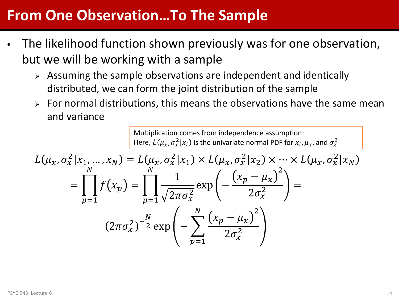### **From One Observation…To The Sample**

- The likelihood function shown previously was for one observation, but we will be working with a sample
	- $\triangleright$  Assuming the sample observations are independent and identically distributed, we can form the joint distribution of the sample
	- $\triangleright$  For normal distributions, this means the observations have the same mean and variance

Multiplication comes from independence assumption: Here,  $L(\mu_x, \sigma_x^2 | x_i)$  is the univariate normal PDF for  $x_i, \mu_x$ , and  $\sigma_x^2$ 

$$
L(\mu_x, \sigma_x^2 | x_1, ..., x_N) = L(\mu_x, \sigma_x^2 | x_1) \times L(\mu_x, \sigma_x^2 | x_2) \times \dots \times L(\mu_x, \sigma_x^2 | x_N)
$$
  
= 
$$
\prod_{p=1}^N f(x_p) = \prod_{p=1}^N \frac{1}{\sqrt{2\pi \sigma_x^2}} \exp\left(-\frac{(x_p - \mu_x)^2}{2\sigma_x^2}\right) =
$$
  

$$
(2\pi \sigma_x^2)^{-\frac{N}{2}} \exp\left(-\sum_{p=1}^N \frac{(x_p - \mu_x)^2}{2\sigma_x^2}\right)
$$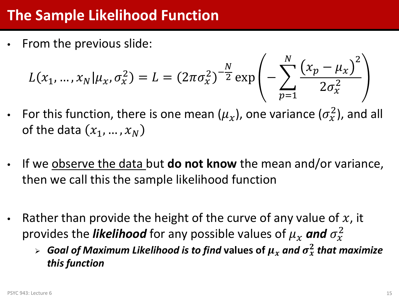# **The Sample Likelihood Function**

• From the previous slide:

$$
L(x_1, ..., x_N | \mu_X, \sigma_X^2) = L = (2\pi \sigma_X^2)^{-\frac{N}{2}} \exp\left(-\sum_{p=1}^N \frac{(x_p - \mu_X)^2}{2\sigma_X^2}\right)
$$

- For this function, there is one mean  $(\mu_x)$ , one variance  $(\sigma_x^2)$ , and all of the data  $(x_1, ..., x_N)$
- If we observe the data but **do not know** the mean and/or variance, then we call this the sample likelihood function
- Rather than provide the height of the curve of any value of  $x$ , it provides the *likelihood* for any possible values of  $\mu_x$  and  $\sigma_x^2$ 
	- $\triangleright$  Goal of Maximum Likelihood is to find values of  $\mu_\chi$  and  $\sigma_\chi^2$  that maximize *this function*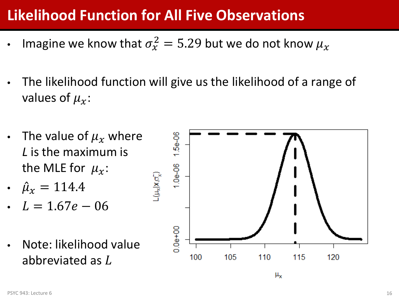# **Likelihood Function for All Five Observations**

- Imagine we know that  $\sigma_{\!x}^2 = 5.29$  but we do not know  $\mu_{\!x}$
- The likelihood function will give us the likelihood of a range of values of  $\mu_{\gamma}$ :
- The value of  $\mu_X$  where *L* is the maximum is the MLE for  $\mu_x$ :
- $\mu_x = 114.4$ ̂
- $L = 1.67e 06$
- Note: likelihood value abbreviated as L

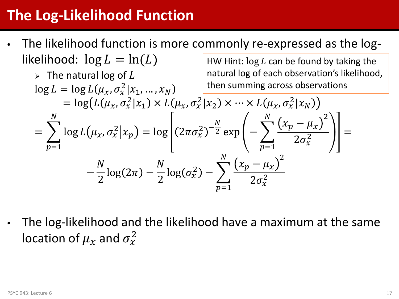# **The Log-Likelihood Function**

• The likelihood function is more commonly re-expressed as the loglikelihood:  $\log L = \ln(L)$ HW Hint:  $log L$  can be found by taking the

$$
\triangleright \text{ The natural log of } L\nlog L = \log L(\mu_x, \sigma_x^2 | x_1, ..., x_N) = \log \left( L(\mu_x, \sigma_x^2 | x_1, ..., x_N) \right)
$$
\n
$$
= \log \left( L(\mu_x, \sigma_x^2 | x_1) \times L(\mu_x, \sigma_x^2 | x_2) \times \dots \times L(\mu_x, \sigma_x^2 | x_N) \right)
$$
\n
$$
= \sum_{p=1}^N \log L(\mu_x, \sigma_x^2 | x_p) = \log \left[ (2\pi \sigma_x^2)^{-\frac{N}{2}} \exp \left( -\sum_{p=1}^N \frac{(x_p - \mu_x)^2}{2\sigma_x^2} \right) \right] =
$$
\n
$$
- \frac{N}{2} \log(2\pi) - \frac{N}{2} \log(\sigma_x^2) - \sum_{p=1}^N \frac{(x_p - \mu_x)^2}{2\sigma_x^2}
$$

• The log-likelihood and the likelihood have a maximum at the same location of  $\mu_\chi$  and  $\sigma^2_\chi$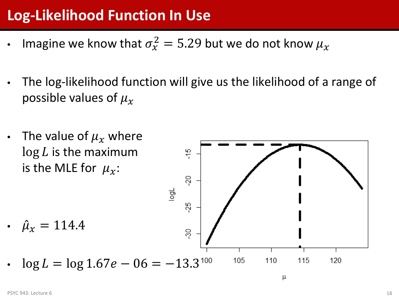# **Log-Likelihood Function In Use**

- Imagine we know that  $\sigma_{\!x}^2 = 5.29$  but we do not know  $\mu_{\!x}$
- The log-likelihood function will give us the likelihood of a range of possible values of  $\mu_{\gamma}$
- The value of  $\mu_x$  where  $\log L$  is the maximum 윾 is the MLE for  $\mu_{\gamma}$ : Šδ  $\frac{1}{9}$ ပို့ •  $\mu_x = 114.4$ ̂ တို့ 105 110  $\log L = \log 1.67e - 06 = -13.3^{100}$ 115 120

μ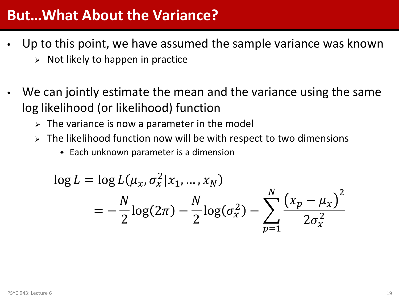### **But…What About the Variance?**

- Up to this point, we have assumed the sample variance was known  $\triangleright$  Not likely to happen in practice
- We can jointly estimate the mean and the variance using the same log likelihood (or likelihood) function
	- $\triangleright$  The variance is now a parameter in the model
	- $\triangleright$  The likelihood function now will be with respect to two dimensions
		- Each unknown parameter is a dimension

$$
\log L = \log L(\mu_x, \sigma_x^2 | x_1, ..., x_N)
$$
  
=  $-\frac{N}{2} \log(2\pi) - \frac{N}{2} \log(\sigma_x^2) - \sum_{p=1}^{N} \frac{(x_p - \mu_x)^2}{2\sigma_x^2}$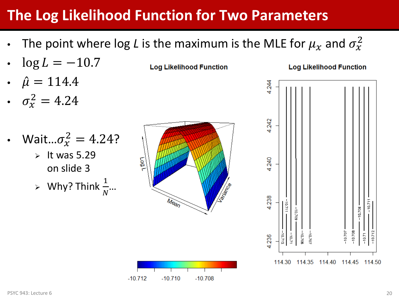# **The Log Likelihood Function for Two Parameters**

• The point where log *L* is the maximum is the MLE for  $\mu_\chi$  and  $\sigma^2_\chi$ 

**Log Likelihood Function** 

- $\log L = -10.7$
- $\mu = 114.4$ ̂
- $\sigma_x^2 = 4.24$
- Wait... $\sigma_{x}^{2} = 4.24$ ?  $\triangleright$  It was 5.29 on slide 3  $\triangleright$  Why? Think  $\frac{1}{N}...$



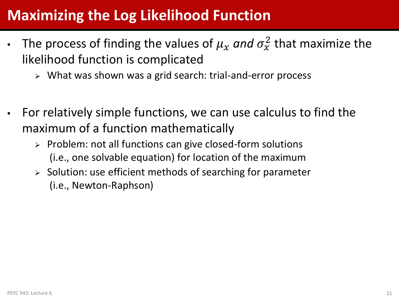# **Maximizing the Log Likelihood Function**

- The process of finding the values of  $\mu_X$  and  $\sigma_X^2$  that maximize the likelihood function is complicated
	- What was shown was a grid search: trial-and-error process
- For relatively simple functions, we can use calculus to find the maximum of a function mathematically
	- $\triangleright$  Problem: not all functions can give closed-form solutions (i.e., one solvable equation) for location of the maximum
	- $\triangleright$  Solution: use efficient methods of searching for parameter (i.e., Newton-Raphson)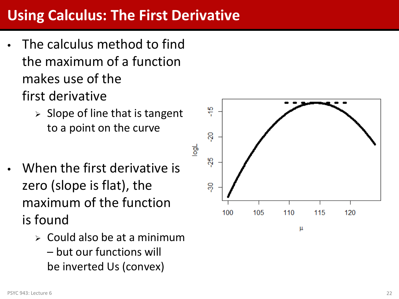# **Using Calculus: The First Derivative**

- The calculus method to find the maximum of a function makes use of the first derivative
	- $\triangleright$  Slope of line that is tangent to a point on the curve
- When the first derivative is zero (slope is flat), the maximum of the function is found
	- $\triangleright$  Could also be at a minimum – but our functions will be inverted Us (convex)

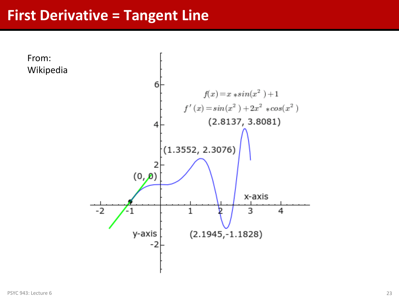#### **First Derivative = Tangent Line**

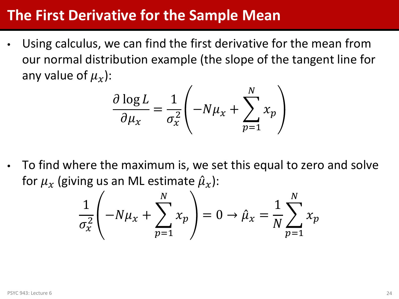### **The First Derivative for the Sample Mean**

• Using calculus, we can find the first derivative for the mean from our normal distribution example (the slope of the tangent line for any value of  $\mu_{\gamma}$ ):

$$
\frac{\partial \log L}{\partial \mu_x} = \frac{1}{\sigma_x^2} \left( -N\mu_x + \sum_{p=1}^N x_p \right)
$$

• To find where the maximum is, we set this equal to zero and solve for  $\mu_{\chi}$  (giving us an ML estimate  $\hat{\mu}_{\chi}$ ): ̂

$$
\frac{1}{\sigma_x^2} \left( -N\mu_x + \sum_{p=1}^N x_p \right) = 0 \to \hat{\mu}_x = \frac{1}{N} \sum_{p=1}^N x_p
$$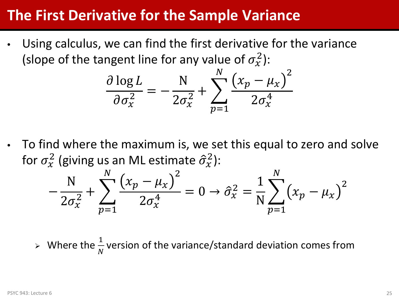### **The First Derivative for the Sample Variance**

Using calculus, we can find the first derivative for the variance (slope of the tangent line for any value of  $\sigma_x^2$ ):

$$
\frac{\partial \log L}{\partial \sigma_x^2} = -\frac{N}{2\sigma_x^2} + \sum_{p=1}^N \frac{(x_p - \mu_x)^2}{2\sigma_x^4}
$$

• To find where the maximum is, we set this equal to zero and solve for  $\sigma_x^2$  (giving us an ML estimate  $\hat{\sigma}_x^2$ ):

$$
-\frac{N}{2\sigma_x^2} + \sum_{p=1}^{N} \frac{(x_p - \mu_x)^2}{2\sigma_x^4} = 0 \to \hat{\sigma}_x^2 = \frac{1}{N} \sum_{p=1}^{N} (x_p - \mu_x)^2
$$

 $\triangleright$  Where the  $\frac{1}{N}$  version of the variance/standard deviation comes from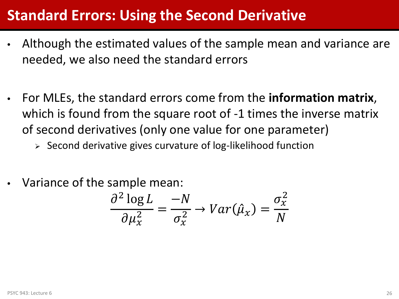### **Standard Errors: Using the Second Derivative**

- Although the estimated values of the sample mean and variance are needed, we also need the standard errors
- For MLEs, the standard errors come from the **information matrix**, which is found from the square root of -1 times the inverse matrix of second derivatives (only one value for one parameter)

 $\triangleright$  Second derivative gives curvature of log-likelihood function

• Variance of the sample mean:

$$
\frac{\partial^2 \log L}{\partial \mu_x^2} = \frac{-N}{\sigma_x^2} \to Var(\hat{\mu}_x) = \frac{\sigma_x^2}{N}
$$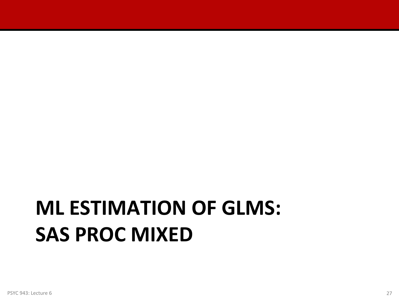# **ML ESTIMATION OF GLMS: SAS PROC MIXED**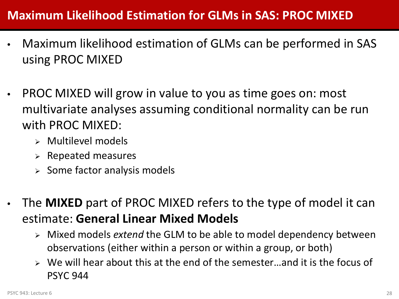#### **Maximum Likelihood Estimation for GLMs in SAS: PROC MIXED**

- Maximum likelihood estimation of GLMs can be performed in SAS using PROC MIXED
- PROC MIXED will grow in value to you as time goes on: most multivariate analyses assuming conditional normality can be run with PROC MIXED:
	- Multilevel models
	- $\triangleright$  Repeated measures
	- $\triangleright$  Some factor analysis models
- The **MIXED** part of PROC MIXED refers to the type of model it can estimate: **General Linear Mixed Models**
	- Mixed models *extend* the GLM to be able to model dependency between observations (either within a person or within a group, or both)
	- $\triangleright$  We will hear about this at the end of the semester...and it is the focus of PSYC 944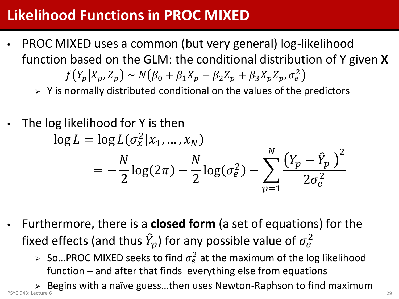# **Likelihood Functions in PROC MIXED**

- PROC MIXED uses a common (but very general) log-likelihood function based on the GLM: the conditional distribution of Y given **X**  $f(Y_p|X_p, Z_p) \sim N(\beta_0 + \beta_1 X_p + \beta_2 Z_p + \beta_3 X_p Z_p, \sigma_e^2)$ 
	- $\triangleright$  Y is normally distributed conditional on the values of the predictors
- The log likelihood for Y is then  $\log L = \log L(\sigma_x^2 | x_1, ..., x_N)$  $=-\frac{N}{2}\log(2\pi)-\frac{N}{2}\log(\sigma_e^2)$  $(\frac{2}{e}) - \sum_{p} \frac{(Y_p - Y_p)}{2\sigma^2}$  $\underline{p}$ 2  $2\sigma_e^2$ <u>N</u>  $p=1$
- Furthermore, there is a **closed form** (a set of equations) for the fixed effects (and thus  $\hat{Y}_p$ ) for any possible value of  $\sigma_e^2$ 
	- > So...PROC MIXED seeks to find  $\sigma_e^2$  at the maximum of the log likelihood function – and after that finds everything else from equations

 $\triangleright$  Begins with a naïve guess...then uses Newton-Raphson to find maximum PSYC 943: Lecture 6 29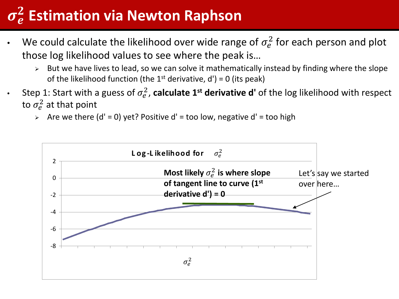# $\sigma_e^2$  Estimation via Newton Raphson

- We could calculate the likelihood over wide range of  $\sigma_e^2$  for each person and plot those log likelihood values to see where the peak is…
	- $\triangleright$  But we have lives to lead, so we can solve it mathematically instead by finding where the slope of the likelihood function (the 1<sup>st</sup> derivative,  $d'$ ) = 0 (its peak)
- Step 1: Start with a guess of  $\sigma_e^2$ , **calculate 1<sup>st</sup> derivative d'** of the log likelihood with respect to  $\sigma_e^2$  at that point
	- $\ge$  Are we there (d' = 0) yet? Positive d' = too low, negative d' = too high

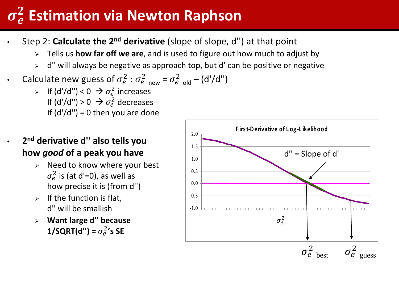# $\sigma_e^2$  Estimation via Newton Raphson

- Step 2: **Calculate the 2nd derivative** (slope of slope, d'') at that point
	- Tells us **how far off we are**, and is used to figure out how much to adjust by
	- $\ge$  d" will always be negative as approach top, but d' can be positive or negative
- Calculate new guess of  $\sigma_e^2$  :  $\sigma_e^2$  <sub>new</sub> =  $\sigma_e^2$  <sub>old</sub> (d'/d'')
	- $\triangleright$  If (d'/d'') < 0  $\rightarrow \sigma_e^2$  increases If  $(d'/d'') > 0 \implies \sigma_e^2$  decreases If  $(d'/d'') = 0$  then you are done
- **2nd derivative d'' also tells you how** *good* **of a peak you have**
	- $\triangleright$  Need to know where your best  $\sigma_e^2$  is (at d'=0), as well as how precise it is (from d'')
	- $\triangleright$  If the function is flat, d'' will be smallish
	- **Want large d'' because 1/SQRT(d'')** =  $\sigma_e^2$ 's SE

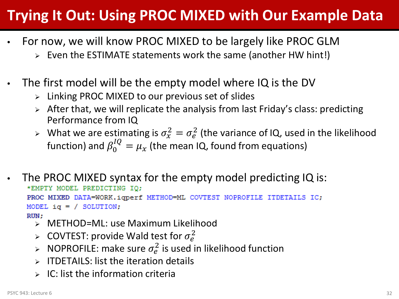# **Trying It Out: Using PROC MIXED with Our Example Data**

- For now, we will know PROC MIXED to be largely like PROC GLM
	- $\triangleright$  Even the ESTIMATE statements work the same (another HW hint!)
- The first model will be the empty model where IQ is the DV
	- $\triangleright$  Linking PROC MIXED to our previous set of slides
	- $\triangleright$  After that, we will replicate the analysis from last Friday's class: predicting Performance from IQ
	- $\triangleright$  What we are estimating is  $\sigma_{x}^{2} = \sigma_{e}^{2}$  (the variance of IQ, used in the likelihood function) and  $\beta_0^{IQ} = \mu_\chi$  (the mean IQ, found from equations)
- The PROC MIXED syntax for the empty model predicting IQ is: \*EMPTY MODEL PREDICTING IQ; PROC MIXED DATA=WORK.iqperf METHOD=ML COVTEST NOPROFILE ITDETAILS IC; MODEL  $iq = /$  SOLUTION; RUN:
	- METHOD=ML: use Maximum Likelihood
	- > COVTEST: provide Wald test for  $\sigma_e^2$
	- > NOPROFILE: make sure  $\sigma_e^2$  is used in likelihood function
	- $\triangleright$  ITDETAILS: list the iteration details
	- $\triangleright$  IC: list the information criteria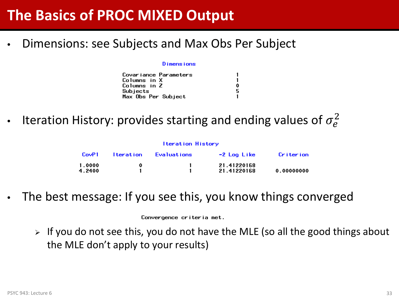### **The Basics of PROC MIXED Output**

• Dimensions: see Subjects and Max Obs Per Subject

#### D imensions

|                     | Covariance Parameters |
|---------------------|-----------------------|
| Columns in X        |                       |
| Columns in Z        |                       |
| Subjects            |                       |
| Max Obs Per Subject |                       |

• Iteration History: provides starting and ending values of  $\sigma_e^2$ 

| <b>Iteration History</b> |                  |                    |                            |            |  |  |
|--------------------------|------------------|--------------------|----------------------------|------------|--|--|
| CovP1                    | <u>Iteration</u> | <b>Evaluations</b> | -2 Log Like                | Criterion  |  |  |
| 1.0000<br>4.2400         | 0                |                    | 21.41220168<br>21.41220168 | 0.00000000 |  |  |

The best message: If you see this, you know things converged

Convergence criteria met.

 $\triangleright$  If you do not see this, you do not have the MLE (so all the good things about the MLE don't apply to your results)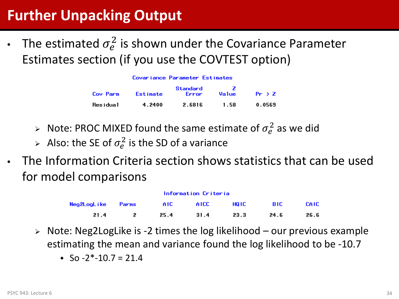# **Further Unpacking Output**

• The estimated  $\sigma_e^2$  is shown under the Covariance Parameter Estimates section (if you use the COVTEST option)

| Cov Parm    | Estimate | Standard<br>Error | Value | $Pr \rightarrow Z$ |
|-------------|----------|-------------------|-------|--------------------|
| Res i dua 1 | 4.2400   | 2.6816            | 1.58  | 0.0569             |

- > Note: PROC MIXED found the same estimate of  $\sigma_e^2$  as we did
- $\triangleright$  Also: the SE of  $\sigma_e^2$  is the SD of a variance
- The Information Criteria section shows statistics that can be used for model comparisons

| Information Criteria |  |            |       |        |       |             |
|----------------------|--|------------|-------|--------|-------|-------------|
| Neg2LogLike Parms    |  | <b>AIC</b> | AICC. | HQ IC. | -BIC. | <b>CAIC</b> |
| 21.4                 |  | 25.4       | 31.4  | 23.3   | 24.6  | 26.6        |

- $\triangleright$  Note: Neg2 Log Like is -2 times the log likelihood our previous example estimating the mean and variance found the log likelihood to be -10.7
	- $\cdot$  So -2\*-10.7 = 21.4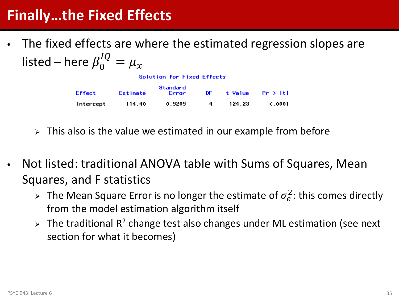### **Finally…the Fixed Effects**

• The fixed effects are where the estimated regression slopes are listed – here  $\beta_0^{IQ} = \mu_x$ 

Solution for Fixed Effects

| Effect    | Estimate | Standard<br>Error | DE. |        | t Value Pr > it i |
|-----------|----------|-------------------|-----|--------|-------------------|
| Intercept | 114.40   | 0.9209            | -4  | 124.23 | $\zeta$ .0001     |

- $\triangleright$  This also is the value we estimated in our example from before
- Not listed: traditional ANOVA table with Sums of Squares, Mean Squares, and F statistics
	- > The Mean Square Error is no longer the estimate of  $\sigma_e^2$ : this comes directly from the model estimation algorithm itself
	- $\triangleright$  The traditional R<sup>2</sup> change test also changes under ML estimation (see next section for what it becomes)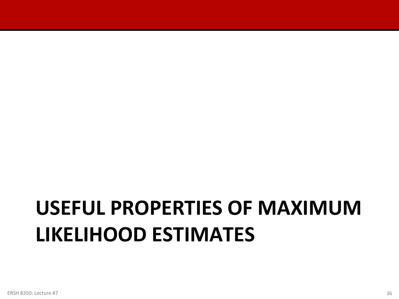# **USEFUL PROPERTIES OF MAXIMUM LIKELIHOOD ESTIMATES**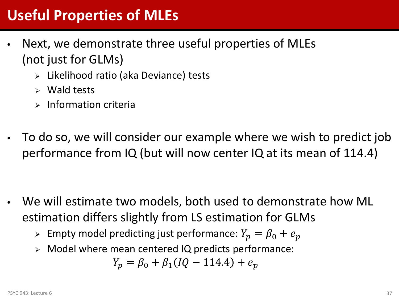# **Useful Properties of MLEs**

- Next, we demonstrate three useful properties of MLEs (not just for GLMs)
	- Likelihood ratio (aka Deviance) tests
	- $\triangleright$  Wald tests
	- $\triangleright$  Information criteria
- To do so, we will consider our example where we wish to predict job performance from IQ (but will now center IQ at its mean of 114.4)

- We will estimate two models, both used to demonstrate how ML estimation differs slightly from LS estimation for GLMs
	- $\triangleright$  Empty model predicting just performance:  $Y_p = \beta_0 + e_p$
	- Model where mean centered IQ predicts performance:

$$
Y_p = \beta_0 + \beta_1 (IQ - 114.4) + e_p
$$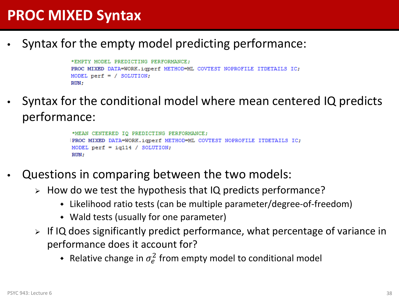### **PROC MIXED Syntax**

• Syntax for the empty model predicting performance:

```
*EMPTY MODEL PREDICTING PERFORMANCE:
PROC MIXED DATA=WORK.iqperf METHOD=ML COVTEST NOPROFILE ITDETAILS IC;
MODEL perf = / SOLUTION;
RUN;
```
• Syntax for the conditional model where mean centered IQ predicts performance:

```
*MEAN CENTERED IQ PREDICTING PERFORMANCE;
PROC MIXED DATA=WORK.iqperf METHOD=ML COVTEST NOPROFILE ITDETAILS IC;
MODEL perf = iq114 / SOLUTIONRUN:
```
- Questions in comparing between the two models:
	- $\triangleright$  How do we test the hypothesis that IQ predicts performance?
		- Likelihood ratio tests (can be multiple parameter/degree-of-freedom)
		- Wald tests (usually for one parameter)
	- $\triangleright$  If IQ does significantly predict performance, what percentage of variance in performance does it account for?
		- Relative change in  $\sigma_e^2$  from empty model to conditional model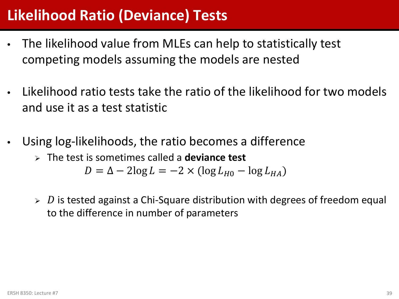### **Likelihood Ratio (Deviance) Tests**

- The likelihood value from MLEs can help to statistically test competing models assuming the models are nested
- Likelihood ratio tests take the ratio of the likelihood for two models and use it as a test statistic
- Using log-likelihoods, the ratio becomes a difference
	- The test is sometimes called a **deviance test**

$$
D = \Delta - 2\log L = -2 \times (\log L_{H0} - \log L_{HA})
$$

 $\triangleright$  D is tested against a Chi-Square distribution with degrees of freedom equal to the difference in number of parameters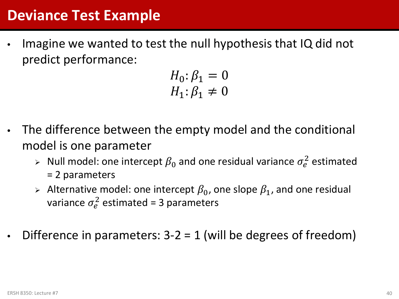#### **Deviance Test Example**

Imagine we wanted to test the null hypothesis that IQ did not predict performance:

$$
H_0: \beta_1 = 0
$$
  

$$
H_1: \beta_1 \neq 0
$$

- The difference between the empty model and the conditional model is one parameter
	- $\triangleright$  Null model: one intercept  $\beta_0$  and one residual variance  $\sigma_e^2$  estimated = 2 parameters
	- Alternative model: one intercept  $\beta_0$ , one slope  $\beta_1$ , and one residual variance  $\sigma_e^2$  estimated = 3 parameters
- Difference in parameters:  $3-2 = 1$  (will be degrees of freedom)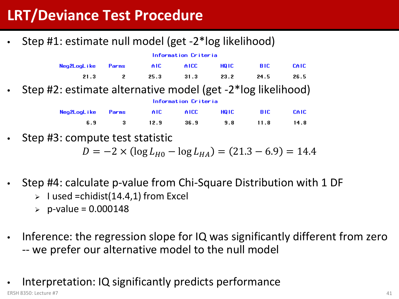# **LRT/Deviance Test Procedure**

• Step #1: estimate null model (get -2\*log likelihood)

| Information Criteria                                   |       |      |       |       |      |       |
|--------------------------------------------------------|-------|------|-------|-------|------|-------|
| Neg2LogLike                                            | Parms | AIC. | AICC. | HQ IC | BIC. | CAIC. |
| 21.3                                                   |       | 25.3 | 31.3  | 23.2  | 24.5 | 26.5  |
| t2: estimate alternative model (get -2*log likelihood) |       |      |       |       |      |       |

• Step #2: estimate alternative model (get -2\*log likelihood)

| Neg2LogLike Parms AIC AICC HQIC BIC CAIC |  |                               |  |
|------------------------------------------|--|-------------------------------|--|
|                                          |  | 6.9 3 12.9 36.9 9.8 11.8 14.8 |  |

Information Criteria

Step #3: compute test statistic

 $D = -2 \times (\log L_{H0} - \log L_{HA}) = (21.3 - 6.9) = 14.4$ 

- Step #4: calculate p-value from Chi-Square Distribution with 1 DF
	- $>$  I used =chidist(14.4,1) from Excel
	- $\ge$  p-value = 0.000148
- Inference: the regression slope for IQ was significantly different from zero -- we prefer our alternative model to the null model
- Interpretation: IQ significantly predicts performance ERSH 8350: Lecture #7 41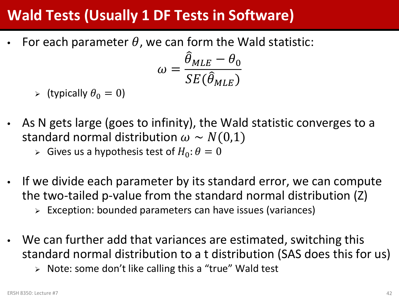# **Wald Tests (Usually 1 DF Tests in Software)**

For each parameter  $\theta$ , we can form the Wald statistic:

$$
\omega = \frac{\widehat{\theta}_{MLE} - \theta_0}{SE(\widehat{\theta}_{MLE})}
$$

- $\triangleright$  (typically  $\theta_0 = 0$ )
- As N gets large (goes to infinity), the Wald statistic converges to a standard normal distribution  $\omega \sim N(0,1)$ 
	- $\triangleright$  Gives us a hypothesis test of  $H_0: \theta = 0$
- If we divide each parameter by its standard error, we can compute the two-tailed p-value from the standard normal distribution (Z)
	- Exception: bounded parameters can have issues (variances)
- We can further add that variances are estimated, switching this standard normal distribution to a t distribution (SAS does this for us)
	- > Note: some don't like calling this a "true" Wald test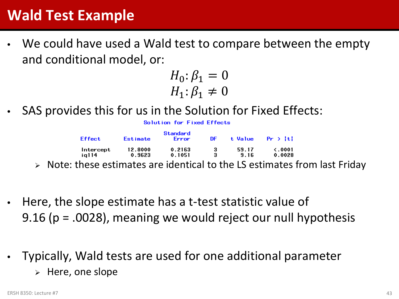### **Wald Test Example**

We could have used a Wald test to compare between the empty and conditional model, or:

$$
H_0: \beta_1 = 0
$$
  

$$
H_1: \beta_1 \neq 0
$$

SAS provides this for us in the Solution for Fixed Effects:

Solution for Fixed Effects

|   | Effect    | Estimate                                                                                                        | Standard<br><b>Error</b> | DF. |                               | t Value $Pr \ge  t $ |
|---|-----------|-----------------------------------------------------------------------------------------------------------------|--------------------------|-----|-------------------------------|----------------------|
|   | Intercept | 12.8000                                                                                                         | 0.2163                   | з.  | 59.17                         | $\zeta$ .0001        |
|   | ia114     | 0.9623                                                                                                          | 0.1051                   |     | 9.16                          | 0.0028               |
| . | - •       | the contract of the contract of the contract of the contract of the contract of the contract of the contract of |                          |     | $\overline{\phantom{a}}$<br>. |                      |

Note: these estimates are identical to the LS estimates from last Friday

- Here, the slope estimate has a t-test statistic value of 9.16 (p = .0028), meaning we would reject our null hypothesis
- Typically, Wald tests are used for one additional parameter
	- $\triangleright$  Here, one slope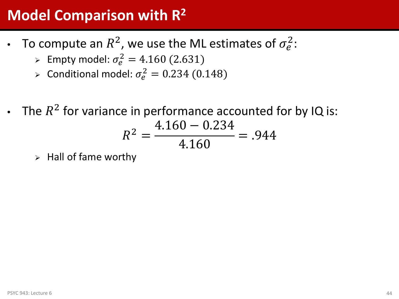# **Model Comparison with R2**

- To compute an  $R^2$ , we use the ML estimates of  $\sigma_e^2$ :
	- Empty model:  $\sigma_e^2 = 4.160 \ (2.631)$
	- > Conditional model:  $\sigma_e^2 = 0.234$  (0.148)
- The  $R^2$  for variance in performance accounted for by IQ is: 4.160 − 0.234

$$
R^2 = \frac{11566 \text{ GHz}}{4.160} = .944
$$

 $\triangleright$  Hall of fame worthy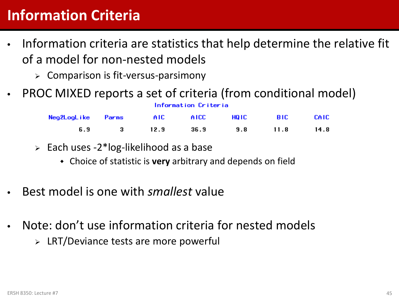# **Information Criteria**

- Information criteria are statistics that help determine the relative fit of a model for non-nested models
	- $\triangleright$  Comparison is fit-versus-parsimony
- PROC MIXED reports a set of criteria (from conditional model)

| Neg2LogLike Parms AIC AICC HQIC BIC CAIC |  |                               |  |
|------------------------------------------|--|-------------------------------|--|
|                                          |  | 6.9 3 12.9 36.9 9.8 11.8 14.8 |  |

Information Criteria

- $\ge$  Each uses -2\*log-likelihood as a base
	- Choice of statistic is **very** arbitrary and depends on field
- Best model is one with *smallest* value
- Note: don't use information criteria for nested models
	- $\triangleright$  LRT/Deviance tests are more powerful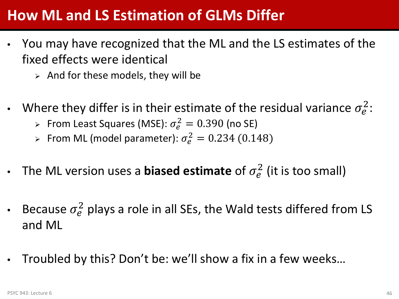### **How ML and LS Estimation of GLMs Differ**

- You may have recognized that the ML and the LS estimates of the fixed effects were identical
	- $\triangleright$  And for these models, they will be
- Where they differ is in their estimate of the residual variance  $\sigma_e^2$ :
	- > From Least Squares (MSE):  $\sigma_e^2 = 0.390$  (no SE)
	- > From ML (model parameter):  $\sigma_e^2 = 0.234$  (0.148)
- The ML version uses a **biased estimate** of  $\sigma_e^2$  (it is too small)
- Because  $\sigma_e^2$  plays a role in all SEs, the Wald tests differed from LS and ML
- Troubled by this? Don't be: we'll show a fix in a few weeks…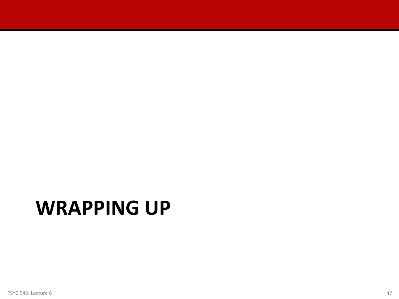# **WRAPPING UP**